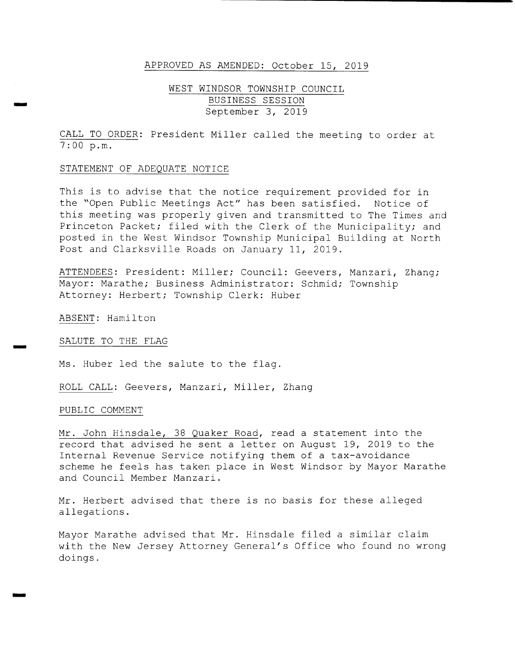#### APPROVED AS AMENDED: October 15, 2019

# WEST WINDSOR TOWNSHIP COUNCIL September 3, 2019

CALL TO ORDER: President Miller called the meeting to order at 7 : 00 p. m.

#### STATEMENT OF ADEQUATE NOTICE

This is to advise that the notice requirement provided for in the "Open Public Meetings Act" has been satisfied. Notice of this meeting was properly given and transmitted to The Times and Princeton Packet; filed with the Clerk of the Municipality; and posted in the West Windsor Township Municipal Building at North Post and Clarksville Roads on January 11, 2019 .

ATTENDEES: President: Miller; Council: Geevers, Manzari, Zhang; Mayor: Marathe; Business Administrator: Schmid; Township Attorney: Herbert; Township Clerk: Huber

ABSENT: Hamilton

lam

iris

SALUTE TO THE FLAG

Ms. Huber led the salute to the flag.

ROLL CALL: Geevers, Manzari, Miller, Zhang

#### PUBLIC COMMENT

Mr. John Hinsdale, <sup>38</sup> Quaker Road, read <sup>a</sup> statement into the record that advised he sent <sup>a</sup> letter on August 19, <sup>2019</sup> to the Internal Revenue Service notifying them of a tax-avoidance scheme he feels has taken place in West Windsor by Mayor Marathe and Council Member Manzari .

Mr. Herbert advised that there is no basis for these alleged allegations .

Mayor Marathe advised that Mr. Hinsdale filed <sup>a</sup> similar claim with the New Jersey Attorney General's Office who found no wrong doings .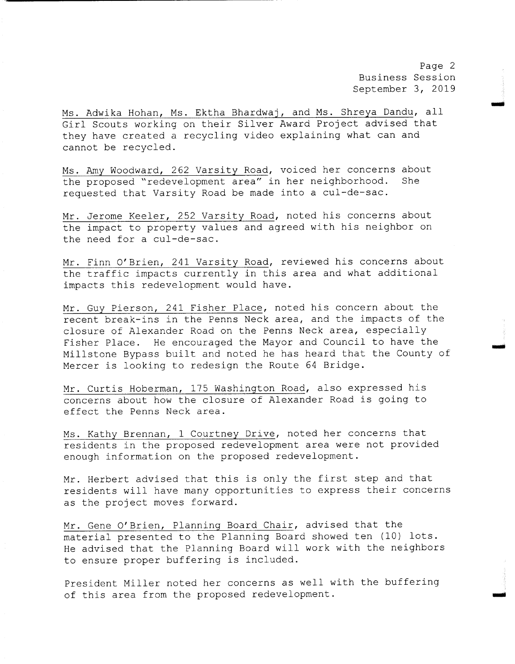Page 2 Business Session September 3, 2019

goo

Ms. Adwika Hohan, Ms. Ektha Bhardwaj, and Ms. Shreya Dandu, all Girl Scouts working on their Silver Award Project advised that they have created <sup>a</sup> recycling video explaining what can and cannot be recycled.

Ms. Amy Woodward, 262 Varsity Road, voiced her concerns about<br>the proposed "redevelopment area" in her neighborhood. She the proposed "redevelopment area" in her neighborhood. requested that Varsity Road be made into a cul-de-sac.

Mr. Jerome Keeler, <sup>252</sup> Varsity Road, noted his concerns about the impact to property values and agreed with his neighbor on the need for a cul-de-sac.

Mr. Finn O' Brien, <sup>241</sup> Varsity Road, reviewed his concerns about the traffic impacts currently in this area and what additional impacts this redevelopment would have .

Mr. Guy Pierson, <sup>241</sup> Fisher Place, noted his concern about the recent break-ins in the Penns Neck area, and the impacts of the closure of Alexander Road on the Penns Neck area, especially Fisher Place. He encouraged the Mayor and Council to have the Millstone Bypass built and noted he has heard that the County of Mercer is looking to redesign the Route <sup>64</sup> Bridge .

Mr. Curtis Hoberman, <sup>175</sup> Washington Road, also expressed his concerns about how the closure of Alexander Road is going to effect the Penns Neck area .

Ms. Kathy Brennan, 1 Courtney Drive, noted her concerns that residents in the proposed redevelopment area were not provided enough information on the proposed redevelopment .

Mr. Herbert advised that this is only the first step and that residents will have many opportunities to express their concerns as the project moves forward.

Mr. Gene O' Brien, Planning Board Chair, advised that the material presented to the Planning Board showed ten (10) lots . He advised that the Planning Board will work with the neighbors to ensure proper buffering is included.

President Miller noted her concerns as well with the buffering of this area from the proposed redevelopment.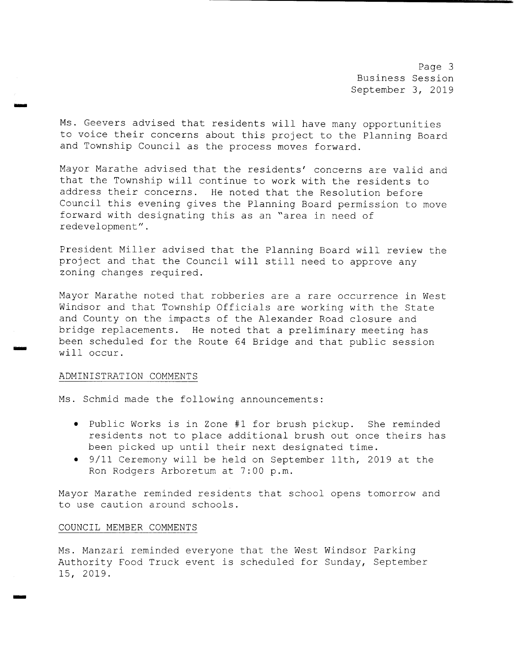Page 3 Business Session September 3, 2019

Ms. Geevers advised that residents will have many opportunities to voice their concerns about this project to the Planning Board and Township Council as the process moves forward.

Mayor Marathe advised that the residents' concerns are valid and that the Township will continue to work with the residents to address their concerns. He noted that the Resolution before Council this evening gives the Planning Board permission to move forward with designating this as an " area in need of redevelopment" .

President Miller advised that the Planning Board will review the project and that the Council will still need to approve any zoning changes required.

Mayor Marathe noted that robberies are <sup>a</sup> rare occurrence in West Windsor and that Township Officials are working with the State and County on the impacts of the Alexander Road closure and bridge replacements . He noted that <sup>a</sup> preliminary meeting has been scheduled for the Route <sup>64</sup> Bridge and that public session will occur.

#### ADMINISTRATION COMMENTS

SIM

ring

Ms. Schmid made the following announcements:

- Public Works is in Zone #1 for brush pickup. She reminded residents not to place additional brush out once theirs has been picked up until their next designated time .
- 9/ <sup>11</sup> Ceremony will be held on September llth, 2019 at the Ron Rodgers Arboretum at 7 : 00 p. m.

Mayor Marathe reminded residents that school opens tomorrow and to use caution around schools .

#### COUNCIL MEMBER COMMENTS

Ms . Manzari reminded everyone that the West Windsor Parking Authority Food Truck event is scheduled for Sunday, September 15, 2019.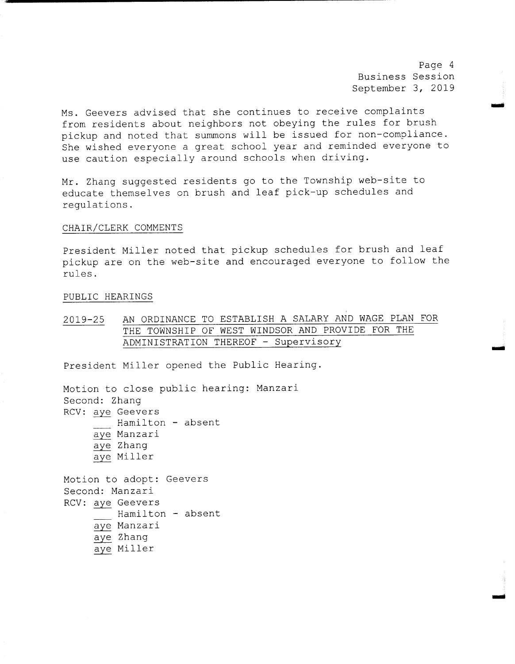Page <sup>4</sup> Business Session September 3, 2019

use

mow

Ms. Geevers advised that she continues to receive complaints from residents about neighbors not obeying the rules for brush pickup and noted that summons will be issued for non-compliance. She wished everyone <sup>a</sup> great school year and reminded everyone to use caution especially around schools when driving.

Mr. Zhang suggested residents go to the Township web-site to educate themselves on brush and leaf pick-up schedules and regulations .

#### CHAIR/ CLERK COMMENTS

President Miller noted that pickup schedules for brush and leaf pickup are on the web-site and encouraged everyone to follow the rules .

#### PUBLIC HEARINGS

2019-25 AN ORDINANCE TO ESTABLISH A SALARY AND WAGE PLAN FOR THE TOWNSHIP OF WEST WINDSOR AND PROVIDE FOR THE ADMINISTRATION THEREOF - Supervisory

President Miller opened the Public Hearing.

Motion to close public hearing: Manzari Second: Zhang RCV: aye Geevers Hamilton - absent aye Manzari aye Zhang aye Miller Motion to adopt: Geevers Second: Manzari RCV: aye Geevers Hamilton - absent aye Manzari aye Zhang aye Miller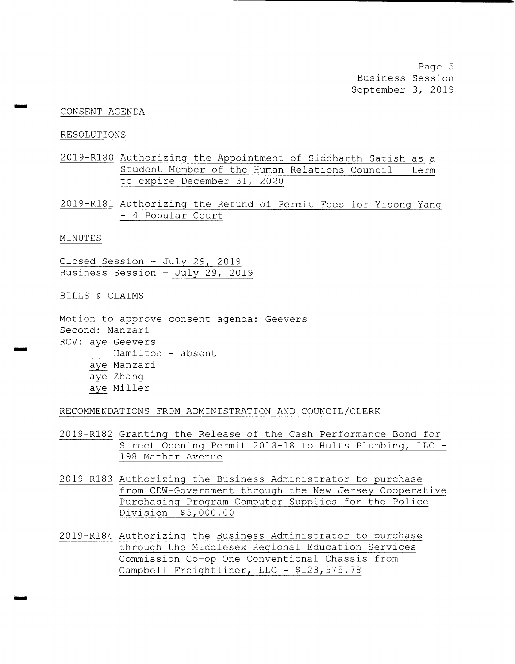Page 5 Business Session September 3, 2019

#### CONSENT AGENDA

#### RESOLUTIONS

ormii

we

- 2019- R180 Authorizing the Appointment of Siddharth Satish as <sup>a</sup> Student Member of the Human Relations Council  $-$  term to expire December 31, 2020
- 2019- R181 Authorizing the Refund of Permit Fees for Yisong Yang <sup>4</sup> Popular Court

#### MINUTES

Closed Session - July 29, 2019 Business Session - July 29, 2019

#### BILLS & CLAIMS

Motion to approve consent agenda: Geevers Second: Manzari RCV: aye Geevers Hamilton - absent aye Manzari aye Zhang aye Miller

### RECOMMENDATIONS FROM ADMINISTRATION AND COUNCIL/CLERK

- 2019- R182 Granting the Release of the Cash Performance Bond for Street Opening Permit 2018-18 to Hults Plumbing, LLC -198 Mather Avenue
- 2019- R183 Authorizing the Business Administrator to purchase from CDW- Government through the New Jersey Cooperative Purchasing Program Computer Supplies for the Police Division -\$5, 000 . 00
- 2019-R184 Authorizing the Business Administrator to purchase through the Middlesex Regional Education Services Commission Co-op One Conventional Chassis from Campbell Freightliner, LLC - \$123,575.78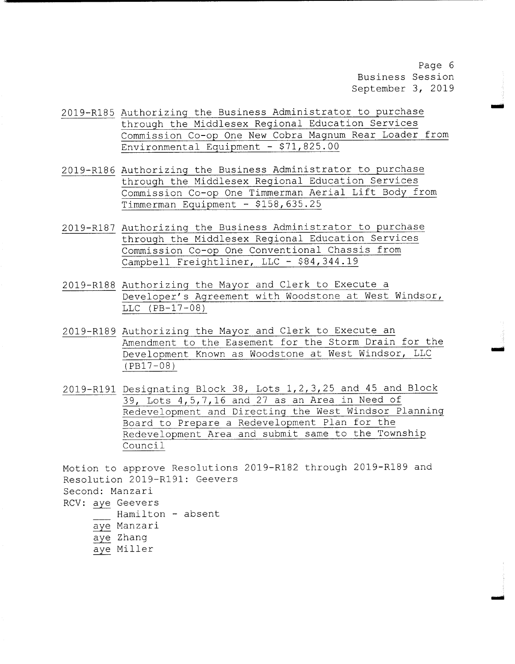Page 6 Business Session September 3, 2019

r

ai

- 2019-R185 Authorizing the Business Administrator to purchase through the Middlesex Regional Education Services Commission Co-op One New Cobra Magnum Rear Loader from Environmental Equipment - \$71,825.00
- 2019- R186 Authorizing the Business Administrator to purchase through the Middlesex Regional Education Services Commission Co-op One Timmerman Aerial Lift Body from Timmerman Equipment - \$ 158, 635 . 25
- 2019-R187 Authorizing the Business Administrator to purchase through the Middlesex Regional Education Services Commission Co-op One Conventional Chassis from Campbell Freightliner, LLC - \$84,344.19
- 2019- R188 Authorizing the Mayor and Clerk to Execute <sup>a</sup> Developer's Agreement with Woodstone at West Windsor,  $LLC$  ( $PB-17-08$ )
- 2019-R189 Authorizing the Mayor and Clerk to Execute an Amendment to the Easement for the Storm Drain for the Development Known as Woodstone at West Windsor, LLC  $(PB17 - 08)$
- 2019-R191 Designating Block 38, Lots 1, 2, 3, 25 and 45 and Block  $39$ , Lots  $4$ ,  $5$ ,  $7$ ,  $16$  and  $27$  as an Area in Need of Redevelopment and Directing the West Windsor Planning Board to Prepare <sup>a</sup> Redevelopment Plan for the Redevelopment Area and submit same to the Township Council

Motion to approve Resolutions 2019-R182 through 2019-R189 and Resolution 2019-R191: Geevers Second: Manzari RCV: aye Geevers Hamilton - absent aye Manzari aye Zhang aye Miller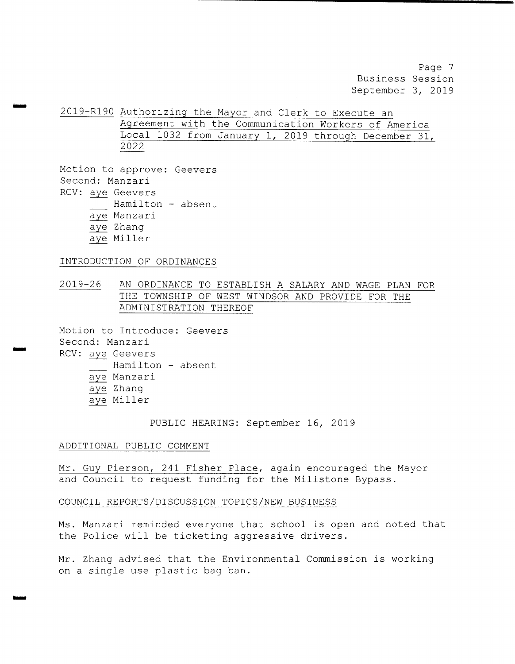Page <sup>7</sup> Business Session September 3, 2019

2019- R190 Authorizing the Mayor and Clerk to Execute an Agreement with the Communication Workers of America Local <sup>1032</sup> from January 1, <sup>2019</sup> through December 31, 2022

Motion to approve: Geevers Second: Manzari RCV: aye Geevers Hamilton - absent aye Manzari aye Zhang aye Miller

nom

m...

INTRODUCTION OF ORDINANCES

2019- 26 AN ORDINANCE TO ESTABLISH A SALARY AND WAGE PLAN FOR THE TOWNSHIP OF WEST WINDSOR AND PROVIDE FOR THE ADMINISTRATION THEREOF

Motion to Introduce: Geevers Second: Manzari RCV: aye Geevers Hamilton - absent aye Manzari aye Zhang aye Miller

PUBLIC HEARING: September 16, 2019

ADDITIONAL PUBLIC COMMENT

Mr. Guy Pierson, <sup>241</sup> Fisher Place, again encouraged the Mayor and Council to request funding for the Millstone Bypass .

COUNCIL REPORTS/ DISCUSSION TOPICS/ NEW BUSINESS

Ms . Manzari reminded everyone that school is open and noted that the Police will be ticketing aggressive drivers .

Mr. Zhang advised that the Environmental Commission is working on <sup>a</sup> single use plastic bag ban.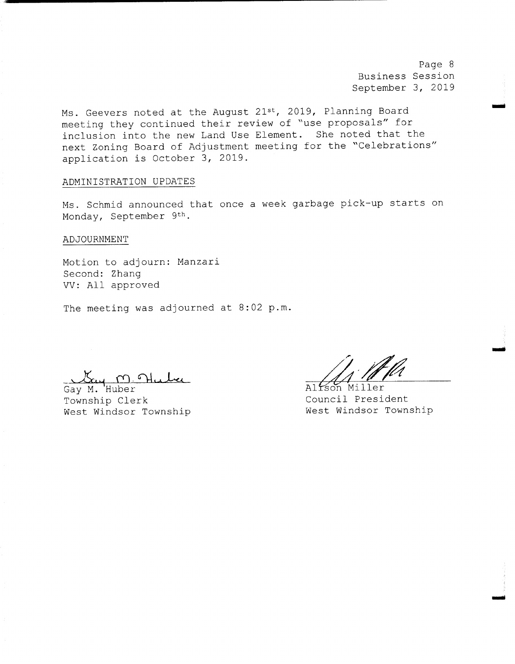Page <sup>8</sup> Business Session September 3, 2019

mei

Imo

Ms. Geevers noted at the August 21st, 2019, Planning Board meeting they continued their review of "use proposals" for inclusion into the new Land Use Element. She noted that the next Zoning Board of Adjustment meeting for the " Celebrations" application is October 3, 2019 .

#### ADMINISTRATION UPDATES

Ms. Schmid announced that once a week garbage pick-up starts on Monday, September 9th.

ADJOURNMENT

9

Motion to adjourn: Manzari Second: Zhang VV: All approved

The meeting was adjourned at 8:02 p.m.

 $\mathbb{C}$ uy M.M

Gay M. Huber<br>Township Clerk Council Presi West Windsor Township

 $j$ , If the

Council President<br>West Windsor Township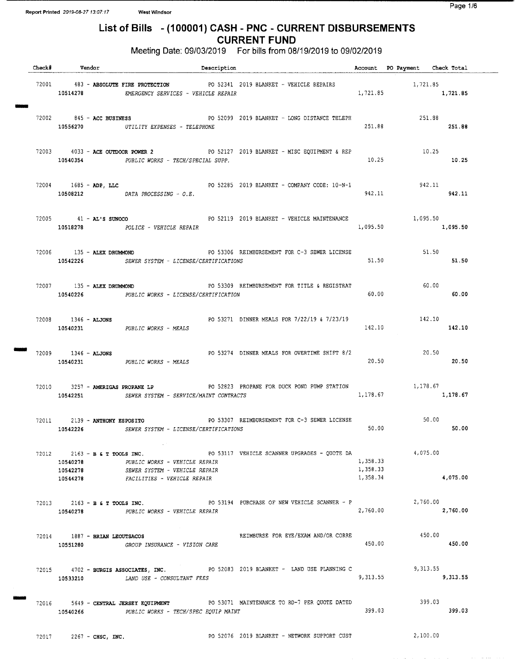NINON

NUM

## List of Bills - (100001) CASH - PNC - CURRENT DISBURSEMENTS CURRENT FUND

Meeting Date: 09/03/2019 For bills from 08/19/2019 to 09/02/2019

| Check# Vendor                                            | Description                                                                                                                         |                                              |                                  | Account PO Payment Check Total         |          |
|----------------------------------------------------------|-------------------------------------------------------------------------------------------------------------------------------------|----------------------------------------------|----------------------------------|----------------------------------------|----------|
| 72001 483 - ABSOLUTE FIRE PROTECTION                     | 10514278 EMERGENCY SERVICES - VEHICLE REPAIR                                                                                        | PO 52341 2019 BLANKET - VEHICLE REPAIRS      |                                  | $1,721.85$<br>$1,721.85$<br>$1,721.85$ |          |
| $72002$ $845$ - ACC BUSINESS                             | PO 52099 2019 BLANKET - LONG DISTANCE TELEPH<br>10556270 UTILITY EXPENSES - TELEPHONE                                               |                                              | 251.88                           | 251.88<br>251.88                       |          |
|                                                          | 72003 4033 - ACE OUTDOOR POWER 2 PO 52127 2019 BLANKET - MISC EQUIPMENT & REP<br>10540354 PUBLIC WORKS - TECH/SPECIAL SUPP.         |                                              | 10.25                            | 10.25                                  | 10.25    |
|                                                          | 72004 1685 - ADP, LLC COMPANY CODE: 10-N-1<br>$10508212$ DATA PROCESSING - O.E.                                                     |                                              | 942.11                           | $942.11$<br>942.11                     |          |
|                                                          | 72005 41 - AL'S SUNOCO<br>10518278 POLICE - VEHICLE REPAIR                                                                          | PO 52119 2019 BLANKET - VEHICLE MAINTENANCE  |                                  | 1,095.50<br>1,095.50 1,095.50          |          |
|                                                          | 10542226 SEWER SYSTEM - LICENSE/CERTIFICATIONS                                                                                      |                                              | 51.50                            | 51.50                                  | 51.50    |
| 72007 135 - ALEX DRUMMOND                                | 10540226 PUBLIC WORKS - LICENSE/CERTIFICATION                                                                                       | PO 53309 REIMBURSEMENT FOR TITLE & REGISTRAT | 60.00                            | 60.00                                  | 60.00    |
| $72008$ $1346 -$ ALJONS<br>10540231 PUBLIC WORKS - MEALS |                                                                                                                                     | PO 53271 DINNER MEALS FOR 7/22/19 & 7/23/19  | 142.10                           | 142.10<br>142.10                       |          |
|                                                          | 10540231 PUBLIC WORKS - MEALS                                                                                                       |                                              | 20.50                            | 20.50                                  | 20.50    |
| 10542251                                                 | 72010 3257 - AMERIGAS PROPANE LP . PO 52823 PROPANE FOR DUCK POND PUMP STATION<br>SEWER SYSTEM - SERVICE/MAINT CONTRACTS            |                                              | 1,178.67                         | 1, 178.67                              | 1,178.67 |
| 72011 2139 - ANTHONY ESPOSITO                            | PO 53307 REIMBURSEMENT FOR C-3 SEWER LICENSE<br>10542226 SEWER SYSTEM - LICENSE/CERTIFICATIONS                                      |                                              |                                  | 50.00<br>50.00                         | 50.00    |
| 72012 2163 - B & T TOOLS INC.<br>10540278<br>10542278    | $\sim 10^{10}$ km $^{-1}$<br>PUBLIC WORKS - VEHICLE REPAIR<br>SEWER SYSTEM - VEHICLE REPAIR<br>10544278 FACILITIES - VEHICLE REPAIR | PO 53117 VEHICLE SCANNER UPGRADES - QUOTE DA | 1,358.33<br>1,358.33<br>1,358.34 | 4,075.00                               | 4,075.00 |
|                                                          | 72013 2163 - B & T TOOLS INC.<br>10540278 PUBLIC WORKS - VEHICLE REPAIR                                                             | PO 53194 PURCHASE OF NEW VEHICLE SCANNER - P | 2,760.00                         | 2,760.00                               | 2,760.00 |
| 72014 1887 - BRIAN LEOUTSACOS                            | 10551280 GROUP INSURANCE - VISION CARE                                                                                              | REIMBURSE FOR EYE/EXAM AND/OR CORRE          | 450.00                           | 450.00<br>450.00                       |          |
|                                                          | 72015 4702 - BURGIS ASSOCIATES, INC. PO 52083 2019 BLANKET - LAND USE PLANNING C<br>10533210 LAND USE - CONSULTANT FEES             |                                              | 9,313.55                         | 9, 313.55                              | 9,313.55 |
| 10540266                                                 | 72016 5649 - CENTRAL JERSEY EQUIPMENT PO 53071 MAINTENANCE TO RD-7 PER QUOTE DATED<br>PUBLIC WORKS - TECH/SPEC EQUIP MAINT          |                                              | 399.03                           | 399.03                                 | 399.03   |
| $72017$ 2267 - CHSC, INC.                                |                                                                                                                                     | PO 52076 2019 BLANKET - NETWORK SUPPORT CUST |                                  | 2,100.00                               |          |

 $\sim 10^{11}$  m  $^{-1}$  m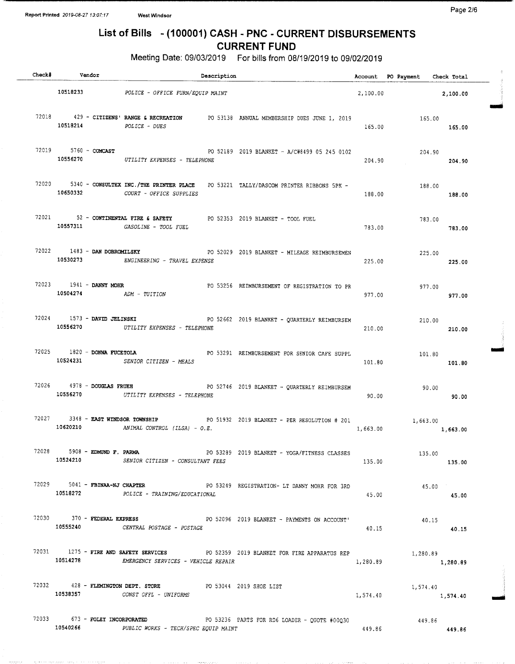## List of Bills - (100001) CASH - PNC - CURRENT DISBURSEMENTS CURRENT FUND

Meeting Date: 09/03/2019 For bills from 08/19/2019 to 09/02/2019

| Check# | Vendor                        | Description                                                                                                                                 |          | Account PO Payment Check Total |        |
|--------|-------------------------------|---------------------------------------------------------------------------------------------------------------------------------------------|----------|--------------------------------|--------|
|        |                               | 10518233 POLICE - OFFICE FURN/EQUIP MAINT                                                                                                   |          | 2,100.00 2,100.00              |        |
|        | 10518214 POLICE - DUES        | 72018 429 - CITIZENS' RANGE & RECREATION PO 53138 ANNUAL MEMBERSHIP DUES JUNE 1, 2019                                                       | 165.00   | 165.00<br>165.00               |        |
|        |                               | 72019 5760 - COMCAST COMPOSED PO 52189 2019 BLANKET - A/C#8499 05 245 0102<br>10556270 UTILITY EXPENSES - TELEPHONE                         | 204.90   | 204.90<br>204.90               |        |
|        |                               | 72020 5340 - CONSULTEX INC./THE PRINTER PLACE PO 53221 TALLY/DASCOM PRINTER RIBBONS 5PK -<br>10650332 COURT - OFFICE SUPPLIES               | 188.00   | 188.00<br>188.00               |        |
|        | 10557311 GASOLINE - TOOL FUEL | 72021 52 - CONTINENTAL FIRE & SAFETY PO 52353 2019 BLANKET - TOOL FUEL                                                                      | 783.00   | 783.00<br>783.00               |        |
|        |                               | 72022 1483 - DAN DOBROMILSKY PO 52029 2019 BLANKET - MILEAGE REIMBURSEMEN<br>10530273 ENGINEERING - TRAVEL EXPENSE                          | 225.00   | 225.00<br>225.00               |        |
|        | $10504274$ $ADM - TUITION$    | 72023 1941 - DANNY MOHR CONSERVED BY THE POSSESS REIMBURSEMENT OF REGISTRATION TO PR                                                        | 977.00   | 977.00<br>977,00               |        |
|        |                               | 72024 1573 - DAVID JELINSKI PO 52662 2019 BLANKET - QUARTERLY REIMBURSEM<br>10556270 UTILITY EXPENSES - TELEPHONE                           | 210.00   | 210.00<br>210.00               |        |
|        |                               | 72025 1820 - DONNA FUCETOLA PO 53291 REIMBURSEMENT FOR SENIOR CAFE SUPPL<br>10524231 SENIOR CITIZEN - MEALS                                 | 101.80   | 101.80                         | 101.80 |
|        |                               | 72026 4978 - DOUGLAS FRUEH<br>PO 52746 2019 BLANKET - QUARTERLY REIMBURSEM<br>10556270 UTILITY EXPENSES - TELEPHONE                         | 90.00    | 90.00<br>90.00                 |        |
|        |                               | 72027 3348 - EAST WINDSOR TOWNSHIP 20 90 51932 2019 BLANKET - PER RESOLUTION # 201<br>10620210 ANIMAL CONTROL (ILSA) - $0.E$ .              |          | 1,663.00 1,663.00              |        |
|        | 72028 5908 - EDMUND F. PARMA  | PO 53289 2019 BLANKET - YOGA/FITNESS CLASSES<br>10524210 SENIOR CITIZEN - CONSULTANT FEES                                                   | 135.00   | 135.00<br>135.00               |        |
|        |                               | 72029 5041 - FBINAA-NJ CHAPTER PO 53249 REGISTRATION- LT DANNY MOHR FOR 3RD<br>10518272 POLICE - TRAINING/EDUCATIONAL                       | 45.00    | 45.00<br>45.00                 |        |
|        | 10555240                      | 72030 370 - FEDERAL EXPRESS 2019 BLANKET - PAYMENTS ON ACCOUNT<br>CENTRAL POSTAGE - POSTAGE                                                 | 40.15    | 40.15<br>40.15                 |        |
|        |                               | 72031 1275 - FIRE AND SAFETY SERVICES PO 52359 2019 BLANKET FOR FIRE APPARATUS REP 1,280.89<br>10514278 EMERGENCY SERVICES - VEHICLE REPAIR | 1,280.89 | 1,280.89                       |        |
|        |                               | 72032 428 - FLEMINGTON DEPT. STORE PO 53044 2019 SHOE LIST<br>10538357 CONST OFFL - UNIFORMS                                                | 1,574.40 | 1,574.40<br>1,574.40           |        |
|        | 10540266                      | $72033$ 673 - FOLEY INCORPORATED $PQ$ 53236 PARTS FOR RD6 LOADER - QUOTE #00Q30<br>PUBLIC WORKS - TECH/SPEC EQUIP MAINT                     | 449.86   | 449.86<br>449.86               |        |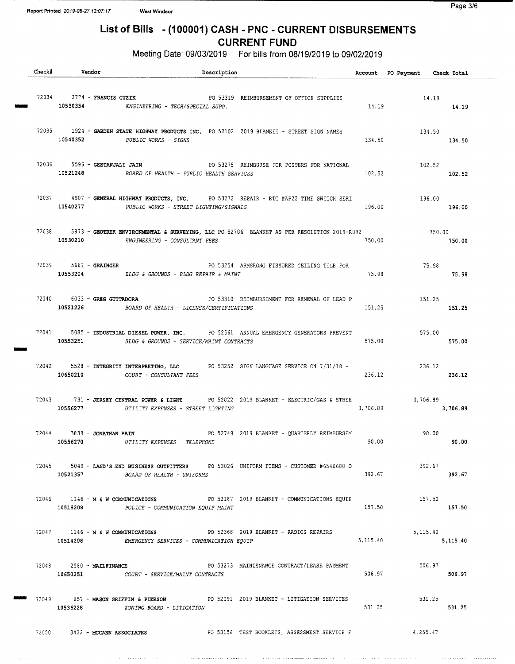## List of Bills - (100001) CASH - PNC - CURRENT DISBURSEMENTS CURRENT FUND

Meeting Date: 09/03/2019 For bills from 08/19/2019 to 09/02/2019

| $Check$ $#$ | Vendor                                 | Description                                                                                                                                               |            | Account PO Payment Check Total |          |
|-------------|----------------------------------------|-----------------------------------------------------------------------------------------------------------------------------------------------------------|------------|--------------------------------|----------|
|             |                                        | 72034 2774 - FRANCIS GUZIR<br>PO 53319 REIMBURSEMENT OF OFFICE SUPPLIES -                                                                                 |            | 14.19<br>14.19                 |          |
|             | 10540352                               | 72035 1924 - GARDEN STATE HIGHWAY PRODUCTS INC. PO 52102 2019 BLANKET - STREET SIGN NAMES<br>PUBLIC WORKS - SIGNS                                         | 134.50     | 134.50<br>134.50               |          |
|             |                                        | 72036 5596 - GEETANJALI JAIN<br>PO 53275 REIMBURSE FOR POSTERS FOR NATIONAL<br>10521248 BOARD OF HEALTH - PUBLIC HEALTH SERVICES                          | 102.52     | 102.52<br>102.52               |          |
|             |                                        | 72037 4907 - GENERAL HIGHWAY PRODUCTS, INC. PO 53272 REPAIR - RTC #AP22 TIME SWITCH SERI<br>10540277 PUBLIC WORKS - STREET LIGHTING/SIGNALS               | 196.00     | 196.00<br>196.00               |          |
|             | 10530210                               | 72038 5873 - GEOTREK ENVIRONMENTAL & SURVEYING, LLC PO 52706 BLANKET AS PER RESOLUTION 2019-R092<br>ENGINEERING - CONSULTANT FEES                         | 750.00     | 750.00                         | 750.00   |
|             | 72039 5661 - GRAINGER                  | PO 53254 ARMSRONG FISSURED CEILING TILE FOR<br>GROUNDS - BLDG REPAIR & MAINT 75.98<br>10553204 BLDG & GROUNDS - BLDG REPAIR & MAINT                       |            | 75.98                          | 75.98    |
|             |                                        | 72040 6033 - GREG GUTTADORA <b>DE PO SOULD PO SOULD</b> PO SOULD BEIMBURSEMENT FOR RENEWAL OF LEAD P<br>10521226 BOARD OF HEALTH - LICENSE/CERTIFICATIONS | 151.25     | 151.25<br>151.25               |          |
|             | 10553251                               | 72041 5085 - INDUSTRIAL DIESEL POWER, INC. PO 52561 ANNUAL EMERGENCY GENERATORS PREVENT<br>BLDG & GROUNDS - SERVICE/MAINT CONTRACTS                       | 575.00     | 575.00                         | 575.00   |
|             |                                        | 72042 5528 - INTEGRITY INTERPRETING, LLC PO 53252 SIGN LANGUAGE SERVICE ON 7/31/18 -<br>10650210 COURT - CONSULTANT FEES                                  | 236.12     | 236.12<br>236.12               |          |
|             |                                        | 72043 731 - JERSEY CENTRAL POWER & LIGHT PO 52022 2019 BLANKET - ELECTRIC/GAS & STREE<br>10556277 UTILITY EXPENSES - STREET LIGHTING                      | 3,706.89   | 3,706.89                       | 3,706.89 |
|             | 72044 3839 - JONATHAN BAIN<br>10556270 | PO 52749 2019 BLANKET - QUARTERLY REIMBURSEM<br>UTILITY EXPENSES - TELEPHONE                                                                              | 90.00      | 90.00                          | 90.00    |
|             |                                        | 72045 5049 - LAND'S END BUSINESS OUTFITTERS PO 53026 UNIFORM ITEMS - CUSTOMER #6546688 O<br>10521357 BOARD OF HEALTH - UNIFORMS                           | 392.67     | 392.67                         | 392.67   |
|             | 10518208                               | 72046 1146 - M & W COMMUNICATIONS PO 52187 2019 BLANKET - COMMUNICATIONS EOUIP 157.50<br>POLICE - COMMUNICATION EQUIP MAINT                               | 157.50     | 157.50                         |          |
|             |                                        | 72047 1146 - M & W COMMUNICATIONS PO 52368 2019 BLANKET - RADIOS REPAIRS<br>10514208 EMERGENCY SERVICES - COMMUNICATION EQUIP                             | 5, 115. 40 | 5, 115, 40<br>5,115.40         |          |
|             |                                        | 10650251    COURT - SERVICE/MAINT CONTRACTS                                                                                                               | 506.97     | 506.97<br>506.97               |          |
|             | 10536228                               | 72049 657 - MASON GRIFFIN & PIERSON PO 52091 2019 BLANKET - LITIGATION SERVICES<br><i>ZONING BOARD - LITIGATION</i>                                       | 531.25     | 531.25<br>531.25               |          |
|             | 72050 3422 - MCCANN ASSOCIATES         | PO 53156 TEST BOOKLETS, ASSESSMENT SERVICE F                                                                                                              |            | 4,255.47                       |          |

والمستفتون والمرادي

ووالمحام المالودودو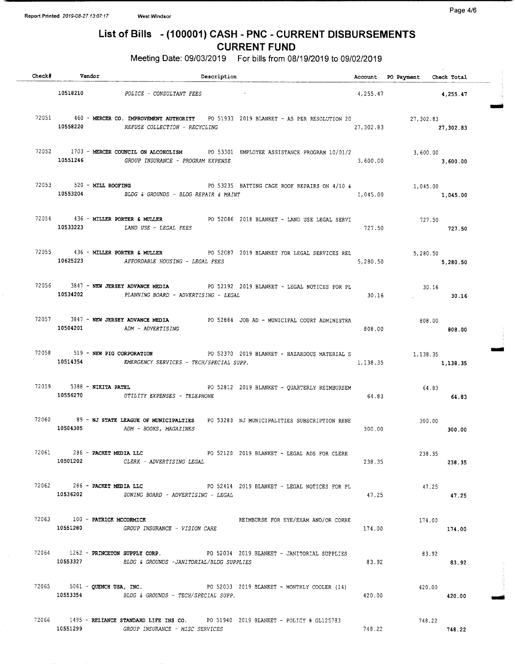#### Page 4/6

## List of Bills - (100001) CASH - PNC - CURRENT DISBURSEMENTS CURRENT FUND

Meeting Date: 09/03/2019 For bills from 08/19/2019 to 09/02/2019

| Check# Vendor                             | Description                                                                                                                          |          | Account PO Payment Check Total |          |  |
|-------------------------------------------|--------------------------------------------------------------------------------------------------------------------------------------|----------|--------------------------------|----------|--|
|                                           | 10518210 POLICE - CONSULTANT FEES                                                                                                    |          | $4,255.47$ $4,255.47$          |          |  |
| 10558220                                  | 72051 460 - MERCER CO. IMPROVEMENT AUTHORITY PO 51933 2019 BLANKET - AS PER RESOLUTION 20 27,302.83<br>REFUSE COLLECTION - RECYCLING |          | 27, 302.83 27, 302.83          |          |  |
|                                           | 72052 1703 - MERCER COUNCIL ON ALCOHOLISM PO 53301 EMPLOYEE ASSISTANCE PROGRAM 10/01/2<br>10551246 GROUP INSURANCE - PROGRAM EXPENSE | 3,600.00 | 3,600.00                       | 3,600.00 |  |
|                                           | 72053 520 - MILL ROOFING 6 63235 BATTING CAGE ROOF REPAIRS ON 4/10 &<br>10553204 BLDG & GROUNDS - BLDG REPAIR & MAINT                | 1,045.00 | 1,045.00                       | 1,045.00 |  |
| 10533223                                  | 72054 436 - MILLER PORTER & MULLER CORPORATION PO 52086 2018 BLANKET - LAND USE LEGAL SERVI<br>LAND USE - LEGAL FEES                 | 727.50   | 727.50<br>727.50               |          |  |
|                                           | 72055 436 - MILLER PORTER & MULLER PO 52087 2019 BLANKET FOR LEGAL SERVICES REL<br>10625223 AFFORDABLE HOUSING - LEGAL FEES          | 5,280.50 | 5,280.50                       | 5,280.50 |  |
|                                           | 72056 3847 - NEW JERSEY ADVANCE MEDIA PO 52192 2019 BLANKET - LEGAL NOTICES FOR PL<br>10534202 PLANNING BOARD - ADVERTISING - LEGAL  | 30.16    | 30.16                          | 30.16    |  |
|                                           | 72057 3847 - NEW JERSEY ADVANCE MEDIA PO 52884 JOB AD - MUNICIPAL COURT ADMINISTRA<br>10504201 ADM - ADVERTISING                     | 808.00   | 808.00<br>808.00               |          |  |
| 10514354                                  | 72058 519 - NEW PIG CORPORATION 2019 BLANKET - HAZARDOUS MATERIAL S 1,138.35<br>EMERGENCY SERVICES - TECH/SPECIAL SUPP.              | 1,138.35 |                                | 1,138.35 |  |
|                                           | 72059 5388 - NIKITA PATEL<br>PO 52812 2019 BLANKET - QUARTERLY REIMBURSEM<br>10556270 UTILITY EXPENSES - TELEPHONE                   | 64.83    | 64.83                          | 64.83    |  |
|                                           | 72060 89 - NJ STATE LEAGUE OF MUNICIPALTIES<br>PO 53283 NJ MUNICIPALITIES SUBSCRIPTION RENE<br>10504305 ADM - BOOKS, MAGAZINES       | 300.00   | 300.00                         | 300.00   |  |
| 72061 286 - PACKET MEDIA LLC              | PO 52120 2019 BLANKET - LEGAL ADS FOR CLERK<br>10501202 CLERK - ADVERTISING LEGAL                                                    | 238.35   | 238.35                         | 238.35   |  |
| 72062 286 - PACKET MEDIA LLC              | PO 52414 2019 BLANKET - LEGAL NOTICES FOR PL<br>10536202 2ONING BOARD - ADVERTISING - LEGAL                                          | 47.25    | 47.25                          | 47.25    |  |
| 72063 100 - PATRICK MCCORMICK<br>10551280 | REIMBURSE FOR EYE/EXAM AND/OR CORRE<br>GROUP INSURANCE - VISION CARE                                                                 | 174.00   | 174.00                         | 174.00   |  |
|                                           | 72064 1262 - PRINCETON SUPPLY CORP. PO 52034 2019 BLANKET - JANITORIAL SUPPLIES<br>10553327 BLDG & GROUNDS -JANITORIAL/BLDG SUPPLIES | 83.92    | 83.92                          | 83.92    |  |
|                                           | 72065 5061 - QUENCH USA, INC. $PO 52033 2019 8$ LANKET - MONTHLY COOLER (14)<br>10553354 BLDG & GROUNDS - TECH/SPECIAL SUPP.         | 420.00   | 420.00                         | 420.00   |  |
|                                           | 72066 1495 - RELIANCE STANDARD LIFE INS CO. PO 51940 2019 BLANKET - POLICY # GL125783<br>10551299 GROUP INSURANCE - MISC SERVICES    | 748.22   | 748.22<br>748.22               |          |  |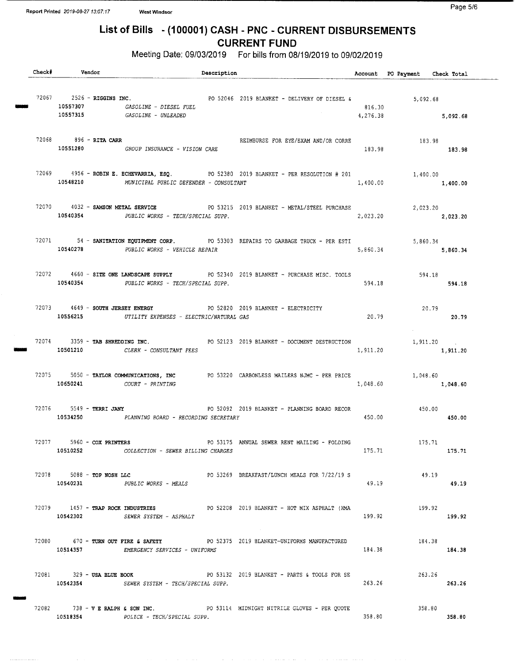UNNO

## List of Bills - (100001) CASH - PNC - CURRENT DISBURSEMENTS CURRENT FUND

Meeting Date: 09/03/2019 For bills from 08/19/2019 to 09/02/2019

| Check# | Vendor                        | Description                                                                                                                                     |                    | Account PO Payment Check Total |          |
|--------|-------------------------------|-------------------------------------------------------------------------------------------------------------------------------------------------|--------------------|--------------------------------|----------|
|        | $72067$ $2526 - RIGGINS INC.$ | PO 52046 2019 BLANKET - DELIVERY OF DIESEL &<br>10557307 GASOLINE - DIESEL FUEL<br>10557315 GASOLINE - UNLEADED                                 | 816.30<br>4,276.38 | 5,092.68<br>5,092.68           |          |
|        | 72068 896 - RITA CARR         | REIMBURSE FOR EYE/EXAM AND/OR CORRE<br>10551280 GROUP INSURANCE - VISION CARE                                                                   | 183.98             | 183.98<br>183.98               |          |
|        |                               | 72069 4956 - ROBIN E. ECHEVARRIA, ESQ. PO 52380 2019 BLANKET - PER RESOLUTION # 201 1,400.00<br>10548210 MUNICIPAL PUBLIC DEFENDER - CONSULTANT | 1,400.00           | 1,400.00                       |          |
|        | 10540354                      | 72070 4032 - SAMSON METAL SERVICE PO 53215 2019 BLANKET - METAL/STEEL PURCHASE<br>PUBLIC WORKS - TECH/SPECIAL SUPP.                             | 2,023.20           | 2,023.20<br>2,023.20           |          |
|        |                               | 72071 54 - SANITATION EQUIPMENT CORP. PO 53303 REPAIRS TO GARBAGE TRUCK - PER ESTI<br>10540278 PUBLIC WORKS - VEHICLE REPAIR                    |                    | 5,860.34<br>5,860.34 5,860.34  |          |
|        |                               | 72072 4660 - SITE ONE LANDSCAPE SUPPLY PO 52340 2019 BLANKET - PURCHASE MISC. TOOLS<br>10540354 PUBLIC WORKS - TECH/SPECIAL SUPP.               | 594.18             | 594.18<br>594.18               |          |
|        |                               | 72073 4649 - SOUTH JERSEY ENERGY PO 52820 2019 BLANKET - ELECTRICITY<br>10556215 UTILITY EXPENSES - ELECTRIC/NATURAL GAS                        | 20.79              | 20.79<br>20.79                 |          |
|        |                               | 72074 3359 - TAB SHREDDING INC. THE RESOLUTION PO 52123 2019 BLANKET - DOCUMENT DESTRUCTION<br>10501210 CLERK - CONSULTANT FEES                 | 1,911.20           | 1,911.20<br>1,911.20           |          |
|        | $10650241$ $COUNT - PRINTING$ | 72075 5050 - TAYLOR COMMUNICATIONS, INC PO 53220 CARBONLESS MAILERS NJMC - PER PRICE                                                            | 1,048.60           | 1,048.60                       | 1,048.60 |
|        |                               | 72076 5549 - TERRI JANY <b>1208</b> 1209 2019 BLANKET - PLANNING BOARD RECOR<br>10534250 PLANNING BOARD - RECORDING SECRETARY                   | 450.00             | 450.00<br>450.00               |          |
|        | 72077 5960 - COX PRINTERS     | PO 53175 ANNUAL SEWER RENT MAILING - FOLDING<br>10510252 COLLECTION - SEWER BILLING CHARGES                                                     | 175.71             | 175.71                         | 175.71   |
|        |                               | 72078 5088 - TOP NOSH LLC<br>PO 53269 BREAKFAST/LUNCH MEALS FOR 7/22/19 S<br>10540231 PUBLIC WORKS - MEALS                                      | 49.19              | 49.19                          | 49.19    |
|        |                               | 72079 1457 - TRAP ROCK INDUSTRIES 60 2019 BLANKET - HOT MIX ASPHALT (HMA<br>10542302 SEWER SYSTEM - ASPHALT                                     | 199.92             | 199.92                         | 199.92   |
|        |                               | 72080 670 - TURN OUT FIRE & SAFETY 60 92375 2019 BLANKET-UNIFORMS MANUFACTURED<br>10514357 EMERGENCY SERVICES - UNIFORMS                        | 184.38             | 184.38                         | 184.38   |
|        | 72081 329 - USA BLUE BOOK     | PO 53132 2019 BLANKET - PARTS & TOOLS FOR SE<br>10542354 SEWER SYSTEM - TECH/SPECIAL SUPP.                                                      | 263.26             | 263.26                         | 263.26   |
|        |                               | 72082 738 - VERALPH & SON INC. PO 53114 MIDNIGHT NITRILE GLOVES - PER QUOTE<br>10518354 POLICE - TECH/SPECIAL SUPP.                             | 358.80             | 358.80                         | 358.80   |

 $\mathcal{L}^{\pm}$  and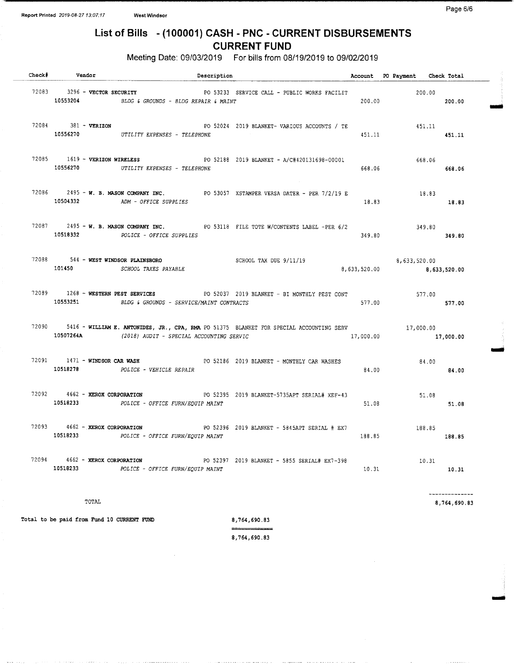## List of Bills - (100001) CASH - PNC - CURRENT DISBURSEMENTS CURRENT FUND

Meeting Date: 09/03/2019 For bills from 08/19/2019 to 09/02/2019

| Check# Vendor                 | Description                                                                                                                                                             |        | Account PO Payment Check Total |                |  |
|-------------------------------|-------------------------------------------------------------------------------------------------------------------------------------------------------------------------|--------|--------------------------------|----------------|--|
| 72083 3296 - VECTOR SECURITY  | PO 53233 SERVICE CALL - PUBLIC WORKS FACILIT<br>10553204 BLDG & GROUNDS - BLDG REPAIR & MAINT                                                                           |        | 200.00<br>200.00 200.00        |                |  |
| 72084 381 - VERIZON           | PO 52024 2019 BLANKET- VARIOUS ACCOUNTS / TE<br>10556270 UTILITY EXPENSES - TELEPHONE                                                                                   | 451.11 | 451.11<br>451.11               |                |  |
| 72085 1619 - VERIZON WIRELESS | PO 52188 2019 BLANKET - A/C#420131698-00001<br>10556270 UTILITY EXPENSES - TELEPHONE                                                                                    | 668.06 | 668.06                         | 668.06         |  |
|                               | 72086 2495 - W. B. MASON COMPANY INC. PO 53057 XSTAMPER VERSA DATER - PER 7/2/19 E<br>10504332 ADM - OFFICE SUPPLIES                                                    | 18.83  | 18.83                          | 18.83          |  |
|                               | 72087 2495 - W. B. MASON COMPANY INC. PO 53118 FILE TOTE W/CONTENTS LABEL -PER 6/2<br>10518332 POLICE - OFFICE SUPPLIES                                                 | 349.80 | 349.80                         | 349.80         |  |
|                               | 72088 544 <b>- WEST WINDSOR PLAINSBORO</b> SCHOOL TAX DUE 9/11/19<br>101450 6,633,520.00 5CHOOL TAXES PAYABLE                                                           |        |                                |                |  |
|                               | 72089 1268 - WESTERN PEST SERVICES PO 52037 2019 BLANKET - BI MONTHLY PEST CONT<br>10553251 BLDG & GROUNDS - SERVICE/MAINT CONTRACTS                                    | 577.00 | 577.00                         | 577.00         |  |
|                               | 72090 5416 - WILLIAM E. ANTONIDES, JR., CPA, RMA PO 51375 BLANKET FOR SPECIAL ACCOUNTING SERV<br>10507264A (2018) AUDIT - SPECIAL ACCOUNTING SERVIC 10507264A 17,000.00 |        | 17,000.00                      | 17,000.00      |  |
|                               | 72091 1471 - WINDSOR CAR WASH<br>PO 52186 2019 BLANKET - MONTHLY CAR WASHES<br>10518278 POLICE - VEHICLE REPAIR                                                         | 84.00  | 84.00                          | 84.00          |  |
|                               | 72092 4662 - XEROX CORPORATION PO 52395 2019 BLANKET-5735APT SERIAL# XEF-43<br>10518233 POLICE - OFFICE FURN/EQUIP MAINT                                                | 51.08  | 51.08                          | 51.08          |  |
|                               | 72093 4662 - XEROX CORPORATION PO 52396 2019 BLANKET - 5845APT SERIAL # EX7 188.85<br>10518233 POLICE - OFFICE FURN/EOUIP MAINT                                         | 188.85 |                                | 188.85         |  |
|                               | 72094   4662 - XEROX CORPORATION   PO 52397   2019 BLANKET - 5855 SERIAL# EX7-398<br>10518233   POLICE - OFFICE FURN/EQUIP MAINT   10.31                                |        | 10.31                          | 10.31          |  |
|                               |                                                                                                                                                                         |        |                                | -------------- |  |

 $_{\rm 754, 690.83}$ 

imo <sup>o</sup>

Total to be paid from Fund 10 CURRENT FUND 8,764,690.83

8, 764, 690. 83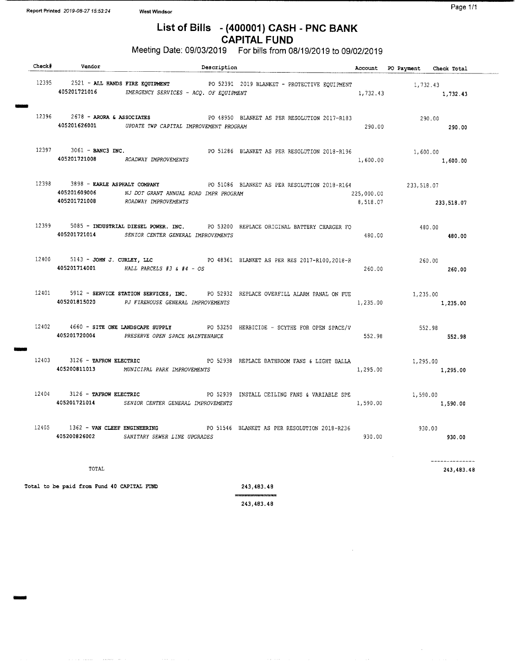فسف

MINN

Mir

## List of Bills - (400001) CASH - PNC BANK CAPITAL FUND

## Meeting Date: 09/03/2019 For bills from 08/19/2019 to 09/02/2019

| $\begin{tabular}{c} Check & \texttt{Vendor} \\ \hline \end{tabular}$ | Description                                                                |                                                                                             |            | Account PO Payment Check Total |                              |
|----------------------------------------------------------------------|----------------------------------------------------------------------------|---------------------------------------------------------------------------------------------|------------|--------------------------------|------------------------------|
|                                                                      | 405201721016 EMERGENCY SERVICES - ACQ. OF EQUIPMENT                        | 12395 2521 - ALL HANDS FIRE EQUIPMENT PO 52391 2019 BLANKET - PROTECTIVE EQUIPMENT 1,732.43 | 1,732.43   |                                | 1,732.43                     |
|                                                                      | 405201626001 UPDATE TWP CAPITAL IMPROVEMENT PROGRAM                        | 12396 2678 - ARORA & ASSOCIATES PO 48950 BLANKET AS PER RESOLUTION 2017-R183                | 290.00     | 290.00                         | 290.00                       |
| $12397$ $3061 -$ BANC3 INC.                                          | 405201721008 ROADWAY IMPROVEMENTS                                          | PO 51286 BLANKET AS PER RESOLUTION 2018-R196                                                | 1,600.00   | 1,600.00<br>1,600.00           |                              |
| 12398 3898 - EARLE ASPHALT COMPANY<br>405201609006                   | NJ DOT GRANT ANNUAL ROAD IMPR PROGRAM<br>405201721008 ROADWAY IMPROVEMENTS | PO 51086 BLANKET AS PER RESOLUTION 2018-R164 233,518.07                                     | 225,000.00 | 8,518.07 233,518.07            |                              |
|                                                                      | 405201721014 SENIOR CENTER GENERAL IMPROVEMENTS                            | 12399 5085 - INDUSTRIAL DIESEL POWER. INC. PO 53200 REPLACE ORIGINAL BATTERY CHARGER FO     | 480.00     | 480.00<br>480.00               |                              |
|                                                                      | 405201714001 HALL PARCELS #3 & #4 - OS                                     | 12400 5143 - JOHN J. CURLEY, LLC PO 48361 BLANKET AS PER RES 2017-R100, 2018-R              | 260.00     | 260.00<br>260.00               |                              |
|                                                                      | 405201815020 PJ FIREHOUSE GENERAL IMPROVEMENTS                             | 12401 5912 - SERVICE STATION SERVICES, INC. PO 52932 REPLACE OVERFILL ALARM PANAL ON FUE    | 1,235.00   | 1,235.00<br>1,235.00           |                              |
|                                                                      | 405201720004 PRESERVE OPEN SPACE MAINTENANCE                               | 12402 4660 - SITE ONE LANDSCAPE SUPPLY FO 53250 HERBICIDE - SCYTHE FOR OPEN SPACE/V         | 552.98     | 552.98<br>552.98               |                              |
|                                                                      | 405200811013 MUNICIPAL PARK IMPROVEMENTS                                   | 12403 3126 - TAFROW ELECTRIC CONTROL PO 52938 REPLACE BATHROOM FANS & LIGHT BALLA           | 1,295.00   | 1,295.00<br>1,295.00           |                              |
|                                                                      | 405201721014 SENIOR CENTER GENERAL IMPROVEMENTS                            | 12404 3126 - TAFROW ELECTRIC PO 52939 INSTALL CEILING FANS & VARIABLE SPE                   | 1,590.00   | 1,590.00<br>1,590.00           |                              |
|                                                                      | 405200826002 SANITARY SEWER LINE UPGRADES                                  | 1362 - VAN CLEEF ENGINEERING PO 51546 BLANKET AS PER RESOLUTION 2018-R236                   | 930.00     | 930.00<br>930.00               |                              |
| TOTAL                                                                |                                                                            |                                                                                             |            |                                | --------------<br>243,483.48 |

Total to be paid from Fund 40 CAPITAL FUND 243, 483.48

البالصححات المتحد جاذب

--243, 483. 48

 $\mathcal{L}(\mathbf{x})$  . Then

 $\hat{\mathcal{A}}$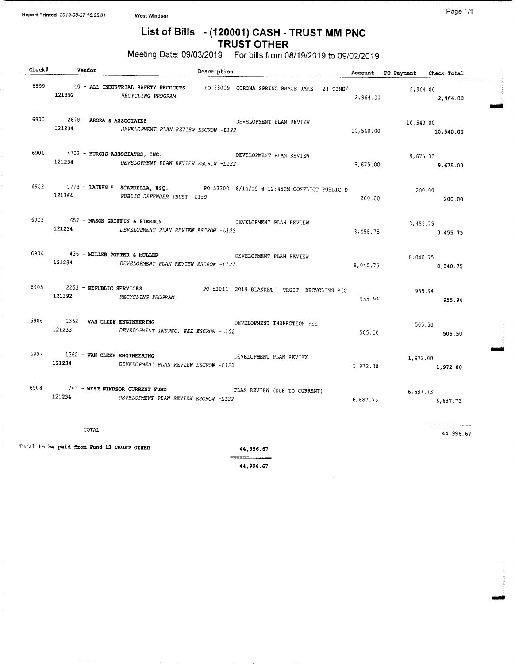$\sim$  and  $\sim$ 

## List of Bills - (120001) CASH - TRUST MM PNC TRUST OTHER

Meeting Date: 09/03/2019 For bills from 08/19/2019 to 09/02/2019

| Check# | Vendor                                        | Description                                                                                                    |                                                                                       |           | Account PO Payment Check Total |                             |
|--------|-----------------------------------------------|----------------------------------------------------------------------------------------------------------------|---------------------------------------------------------------------------------------|-----------|--------------------------------|-----------------------------|
|        | 121392                                        | RECYCLING PROGRAM                                                                                              | 6899 40 - ALL INDUSTRIAL SAFETY PRODUCTS PO 53009 CORONA SPRING BRACE RAKE - 24 TINE/ | 2,964.00  | 2,964.00                       | 2,964.00                    |
|        | 6900 $2678 - ARORA \t s ASSOCIATES$<br>121234 | DEVELOPMENT PLAN REVIEW ESCROW -L122                                                                           | DEVELOPMENT PLAN REVIEW                                                               | 10,540.00 | 10,540.00                      | 10,540.00                   |
|        |                                               | 6901 4702 - BURGIS ASSOCIATES, INC. DEVELOPMENT PLAN REVIEW<br>121234 DEVELOPMENT PLAN REVIEW ESCROW -L122     |                                                                                       | 9,675.00  |                                | 9,675.00<br>9,675.00        |
|        |                                               | 121364 PUBLIC DEFENDER TRUST -L150                                                                             | 6902 5773 - LAUREN E. SCARDELLA, ESQ. PO 53300 8/14/19 @ 12:45PM CONFLICT PUBLIC D    | 200.00    | 200.00                         | 200.00                      |
|        | 6903 657 - MASON GRIFFIN & PIERSON            | 121234 DEVELOPMENT PLAN REVIEW ESCROW -L122                                                                    | DEVELOPMENT PLAN REVIEW                                                               | 3,455.75  |                                | 3,455.75<br>3,455.75        |
|        | 121234                                        | 6904 436 - MILLER PORTER & MULLER AND METALLIC DEVELOPMENT PLAN REVIEW<br>DEVELOPMENT PLAN REVIEW ESCROW -L122 |                                                                                       | 8,040.75  | 8,040.75                       | 8,040.75                    |
|        | 121392 RECYCLING PROGRAM                      | 6905 2253 - REPUBLIC SERVICES                                                                                  | PO 52011 2019 BLANKET - TRUST -RECYCLING PIC                                          | 955.94    | 955.94                         | 955.94                      |
|        | 6906 1362 - VAN CLEEF ENGINEERING<br>121233   | DEVELOPMENT INSPEC. FEE ESCROW -L102                                                                           | DEVELOPMENT INSPECTION FEE                                                            | 505.50    |                                | 505.50<br>505.50            |
|        | 6907 1362 - VAN CLEEF ENGINEERING             | 121234 DEVELOPMENT PLAN REVIEW ESCROW -L122                                                                    | DEVELOPMENT PLAN REVIEW                                                               | 1,972.00  | 1,972.00                       | 1,972,00                    |
|        | 121234                                        | 6908 743 - WEST WINDSOR CURRENT FUND<br>PLAN REVIEW (DUE TO CURRENT)<br>DEVELOPMENT PLAN REVIEW ESCROW -L122   |                                                                                       | 6,687.73  | 6,687.73                       | 6,687.73                    |
|        | TOTAL                                         |                                                                                                                |                                                                                       |           |                                | --------------<br>44,996.67 |
|        | Total to be paid from Fund 12 TRUST OTHER     |                                                                                                                | 44.996.67                                                                             |           |                                |                             |

44, 996. 67

Page 1/1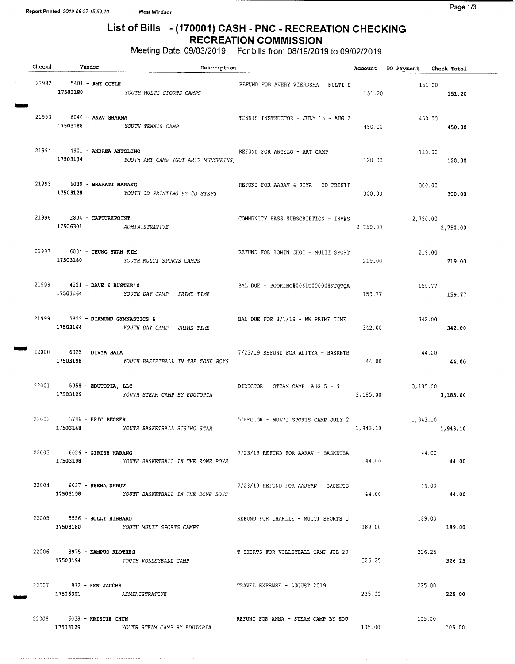## List of Bills - (170001) CASH - PNC - RECREATION CHECKING RECREATION COMMISSION

Meeting Date: 09/03/2019 For bills from 08/19/2019 to 09/02/2019

| Check# | Vendor                                                   | Description                                  |                                            |          | Account PO Payment Check Total |          |
|--------|----------------------------------------------------------|----------------------------------------------|--------------------------------------------|----------|--------------------------------|----------|
|        | 21992 5401 - AMY COYLE                                   | 17503180 YOUTH MULTI SPORTS CAMPS            | REFUND FOR AVERY WIERDSMA - MULTI S 151.20 | 151.20   |                                | 151.20   |
|        | 21993 6040 - ANAV SHARMA<br>17503188 YOUTH TENNIS CAMP   |                                              | TENNIS INSTRUCTOR - JULY 15 - AUG 2        | 450.00   | 450.00                         | 450.00   |
|        | 21994 4901 - ANDREA ANTOLINO<br>17503134                 | YOUTH ART CAMP (GOT ART? MUNCHKINS)          | REFUND FOR ANGELO - ART CAMP               | 120.00   | 120.00                         | 120.00   |
|        | 21995 6039 - BHARATI NARANG                              | 17503128 YOUTH 3D PRINTING BY 3D STEPS       | REFUND FOR AARAV & RIYA - 3D PRINTI        | 300.00   | 300.00                         | 300.00   |
|        | $21996$ $2804$ - CAPTUREPOINT<br>17506301 ADMINISTRATIVE |                                              | COMMUNITY PASS SUBSCRIPTION - INV#S        | 2,750.00 | 2,750.00                       | 2,750.00 |
|        | 21997 6034 - CHUNG HWAN KIM                              | 17503180 YOUTH MULTI SPORTS CAMPS            | REFUND FOR HOMIN CHOI - MULTI SPORT        | 219.00   | 219.00                         | 219.00   |
|        | 21998 4221 - DAVE & BUSTER'S<br>17503164                 | YOUTH DAY CAMP - PRIME TIME                  | BAL DUE - BOOKING#0061U000008NJOTOA        | 159.77   | 159.77                         | 159.77   |
|        | 21999 5859 - DIAMOND GYMNASTICS &                        | 17503164 YOUTH DAY CAMP - PRIME TIME         | BAL DUE FOR $8/1/19$ - WW PRIME TIME       | 342.00   | 342.00                         | 342.00   |
|        | 22000 6025 - DIVYA BALA                                  | 17503198 YOUTH BASKETBALL IN THE ZONE BOYS   | 7/23/19 REFUND FOR ADITYA - BASKETB        | 44.00    | 44.00                          | 44.00    |
|        | 22001 5958 - EDUTOPIA, LLC                               | 17503129 YOUTH STEAM CAMP BY EDUTOPIA        | DIRECTOR - STEAM CAMP AUG 5 - 9            | 3,185.00 | 3,185.00                       | 3,185.00 |
|        | 22002 3786 - ERIC BECKER<br>17503148                     | YOUTH BASKETBALL RISING STAR                 | DIRECTOR - MULTI SPORTS CAMP JULY 2        | 1,943.10 | 1,943.10<br>1,943.10           |          |
|        | 22003 6026 - GIRISH NARANG                               | 17503198 - YOUTH BASKETBALL IN THE ZONE BOYS | 7/23/19 REFUND FOR AARAV - BASKETBA        | 44.00    | 44.00                          | 44.00    |
|        | 22004 6027 - HEENA DHRUV                                 | 17503198 YOUTH BASKETBALL IN THE ZONE BOYS   | 7/23/19 REFUND FOR AARYAN - BASKETB        | 44.00    | 44.00                          | 44.00    |
|        | 22005 5556 - HOLLY HIBBARD<br>17503180                   | YOUTH MULTI SPORTS CAMPS                     | REFUND FOR CHARLIE - MULTI SPORTS C        | 189.00   | 189.00                         | 189.00   |
|        | 22006 3975 - KAMPUS KLOTHES<br>17503194                  | YOUTH VOLLEYBALL CAMP                        | T-SHIRTS FOR VOLLEYBALL CAMP JUL 29        | 326.25   | 326.25                         | 326.25   |
|        | 22007 972 - KEN JACOBS<br>17506301 ADMINISTRATIVE        |                                              | TRAVEL EXPENSE - AUGUST 2019               | 225.00   | 225.00                         | 225.00   |
|        | 22008 6038 - KRISTIE CHUN                                | 17503129 YOUTH STEAM CAMP BY EDUTOPIA        | REFUND FOR ANNA - STEAM CAMP BY EDU        | 105.00   | 105.00                         | 105.00   |

 $\hat{r}$  , a special constraint mass of  $\hat{r}$ 

and any more and completely are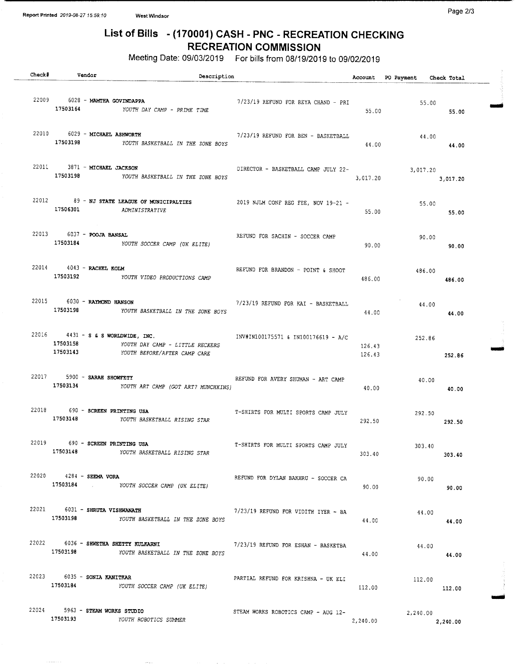. . . . . . .

## List of Bills - (170001) CASH - PNC - RECREATION CHECKING RECREATION COMMISSION

Meeting Date: 09/03/2019 For bills from 08/19/2019 to 09/02/2019

| <b>Check#</b> |          | Vendor                               | Description                                                              |                                                                                 |          | Account PO Payment Check Total |                |  |
|---------------|----------|--------------------------------------|--------------------------------------------------------------------------|---------------------------------------------------------------------------------|----------|--------------------------------|----------------|--|
|               |          | 22009 6028 - MAMTHA GOVINDAPPA       | 17503164 YOUTH DAY CAMP - PRIME TIME                                     | 7/23/19 REFUND FOR REYA CHAND - PRI                                             | 55.00    |                                | 55.00<br>55.00 |  |
|               |          | 22010 6029 - MICHAEL ASHWORTH        | 17503198 YOUTH BASKETBALL IN THE ZONE BOYS                               | 7/23/19 REFUND FOR BEN - BASKETBALL                                             | 44.00    | 44.00                          | 44.00          |  |
|               |          | 22011 3871 - MICHAEL JACKSON         | 17503198 YOUTH BASKETBALL IN THE ZONE BOYS                               | DIRECTOR - BASKETBALL CAMP JULY 22-<br>3,017.20                                 |          | $3,017.20$ $3,017.20$          |                |  |
|               |          | 17506301 ADMINISTRATIVE              |                                                                          | 22012 89 - NJ STATE LEAGUE OF MUNICIPALTIES 2019 NJLM CONF REG FEE, NOV 19-21 - | 55.00    | 55.00                          | 55.00          |  |
|               |          | 22013 6037 - POOJA BANSAL            | 17503184 YOUTH SOCCER CAMP (UK ELITE)                                    | REFUND FOR SACHIN - SOCCER CAMP                                                 | 90.00    | 90.00                          | 90.00          |  |
|               |          | 22014 4043 - RACHEL ROLM             | 17503192 YOUTH VIDEO PRODUCTIONS CAMP                                    | REFUND FOR BRANDON - POINT & SHOOT                                              | 486.00   | 486.00<br>486.00               |                |  |
|               |          | 22015 6030 - RAYMOND HANSON          | 17503198 YOUTH BASKETBALL IN THE ZONE BOYS                               | 7/23/19 REFUND FOR KAI - BASKETBALL                                             | 44.00    | 44.00                          | 44.00          |  |
|               | 17503143 |                                      | 17503158 YOUTH DAY CAMP - LITTLE RECKERS<br>YOUTH BEFORE/AFTER CAMP CARE | 22016 4431 - S & S WORLDWIDE, INC. INV#IN100175571 & IN100176619 - A/C          | 126.43   | 252.86<br>126.43               | 252.86         |  |
|               |          | 22017 5900 - SARAH SHOWFETY          | 17503134 YOUTH ART CAMP (GOT ART? MUNCHKINS)                             | REFUND FOR AVERY SHUMAN - ART CAMP                                              | 40.00    | 40.00                          | 40.00          |  |
|               |          | 22018 690 - SCREEN PRINTING USA      | 17503148 YOUTH BASKETBALL RISING STAR                                    | T-SHIRTS FOR MULTI SPORTS CAMP JULY                                             | 292.50   | 292.50<br>292.50               |                |  |
|               | 17503148 | 22019 690 - SCREEN PRINTING USA      | YOUTH BASKETBALL RISING STAR                                             | T-SHIRTS FOR MULTI SPORTS CAMP JULY                                             | 303.40   | 303.40                         | 303.40         |  |
|               |          | 22020 4284 - SEEMA VORA              | 17503184 . YOUTH SOCCER CAMP (UK ELITE)                                  | REFUND FOR DYLAN BAKHRU - SOCCER CA                                             | 90.00    | 90.00                          | 90.00          |  |
|               | 17503198 | 22021 6031 - SHRUTA VISHWANATH       | YOUTH BASKETBALL IN THE ZONE BOYS                                        | $7/23/19$ REFUND FOR VIDITH IYER - BA                                           | 44.00    | 44.00                          | 44.00          |  |
|               |          | 22022 6036 - SHWETHA SHETTY KULKARNI | 17503198 YOUTH BASKETBALL IN THE ZONE BOYS                               | 7/23/19 REFUND FOR ESHAN - BASKETBA                                             | 44.00    | 44.00                          | 44.00          |  |
|               | 17503184 | $22023$ 6035 - SONIA KANITKAR        | YOUTH SOCCER CAMP (UK ELITE)                                             | PARTIAL REFUND FOR KRISHNA - UK ELI                                             | 112.00   | 112.00                         | 112.00         |  |
|               | 17503193 | 22024 5963 - STEAM WORKS STUDIO      | YOUTH ROBOTICS SUMMER                                                    | STEAM WORKS ROBOTICS CAMP - AUG 12-                                             | 2,240.00 | 2,240.00                       | 2,240.00       |  |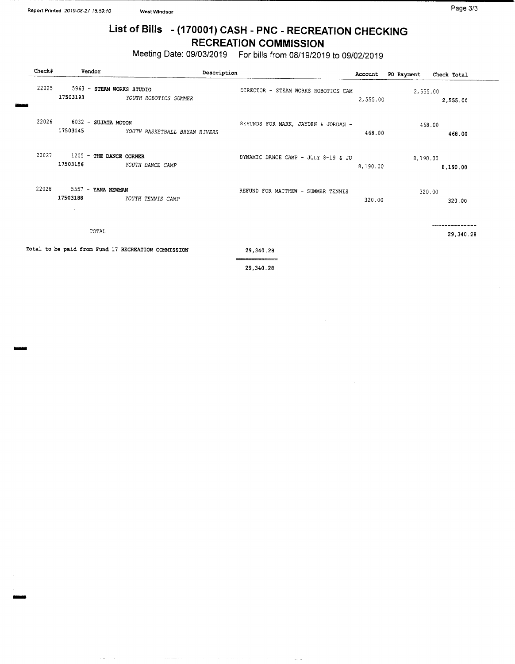$\sim$ 

## List of Bills - (170001) CASH - PNC - RECREATION CHECKING RECREATION COMMISSION

Meeting Date: 09/03/2019 For bills from 08/19/2019 to 09/02/2019

| Check# | Vendor                                   | Description                                         |                                     | Account  | PO Payment | Check Total |
|--------|------------------------------------------|-----------------------------------------------------|-------------------------------------|----------|------------|-------------|
| 22025  | 5963 - STEAM WORKS STUDIO<br>17503193    | YOUTH ROBOTICS SUMMER                               | DIRECTOR - STEAM WORKS ROBOTICS CAM | 2,555.00 | 2,555.00   | 2,555.00    |
| 22026  | 6032 - SUJATA MOTON<br>17503145          | YOUTH BASKETBALL BRYAN RIVERS                       | REFUNDS FOR MARK, JAYDEN & JORDAN - | 468.00   | 468.00     | 468.00      |
| 22027  | 1205 - THE DANCE CORNER<br>17503156      | YOUTH DANCE CAMP                                    | DYNAMIC DANCE CAMP - JULY 8-19 & JU | 8,190.00 | 8,190.00   | 8,190.00    |
| 22028  | 5557 - YANA NEWMAN<br>17503188<br>$\sim$ | YOUTH TENNIS CAMP                                   | REFUND FOR MATTHEW - SUMMER TENNIS  | 320.00   | 320.00     | 320.00      |
|        | TOTAL                                    |                                                     |                                     |          |            | 29,340.28   |
|        |                                          | Total to be paid from Fund 17 RECREATION COMMISSION | 29,340.28                           |          |            |             |

29, 340. 28

والمتباعث والموار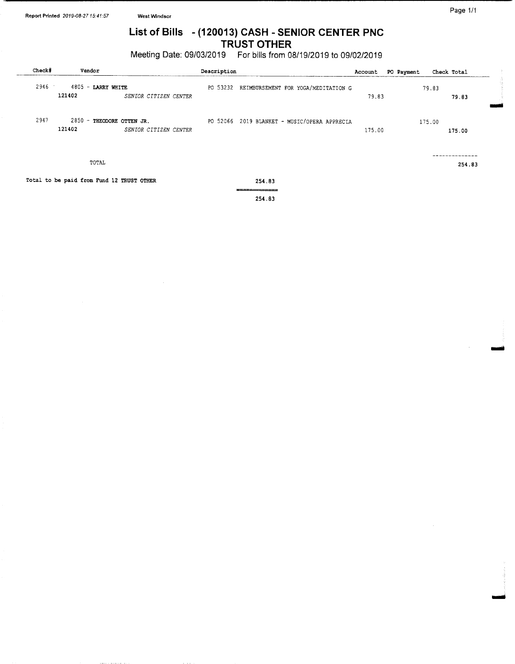## List of Bills - (120013) CASH - SENIOR CENTER PNC TRUST OTHER

Meeting Date: 09/03/2019 For bills from 08/19/2019 to 09/02/2019

| Check# | Vendor                                    |                       | Description |                                              | Account | PO Payment |        | Check Total |
|--------|-------------------------------------------|-----------------------|-------------|----------------------------------------------|---------|------------|--------|-------------|
| 2946   | 4805 - LARRY WHITE<br>121402              | SENIOR CITIZEN CENTER |             | PO 53232 REIMBURSEMENT FOR YOGA/MEDITATION G | 79.83   |            | 79.83  | 79.83       |
| 2947   | 2850 - THEODORE OTTEN JR.<br>121402       | SENIOR CITIZEN CENTER |             | PO 52066 2019 BLANKET - MUSIC/OPERA APPRECIA | 175.00  |            | 175.00 | 175.00      |
|        | TOTAL                                     |                       |             |                                              |         |            |        | 254.83      |
|        | Total to be paid from Fund 12 TRUST OTHER |                       |             | 254.83                                       |         |            |        |             |
|        |                                           |                       |             | 254.83                                       |         |            |        |             |

Page 1/1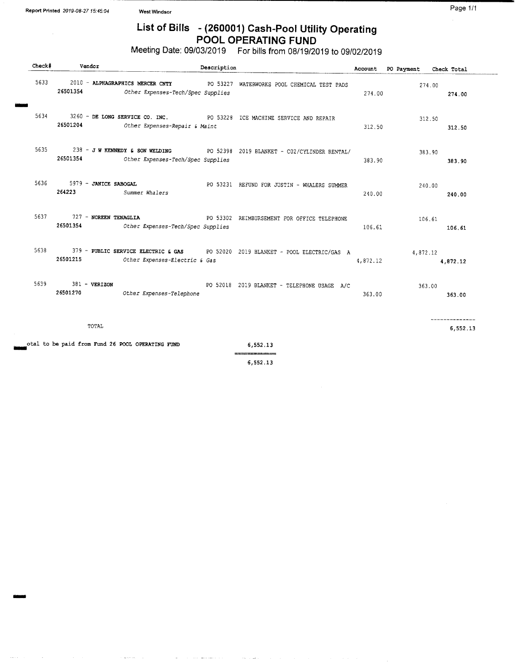## List of Bills - (260001) Cash-Pool Utility Operating POOL OPERATING FUND

Meeting Date: 09/03/2019 For bills from 08/19/2019 to 09/02/2019

| Check# | Vendor                               |                                                  | Description |                                                                                 |          | Account PO Payment Check Total |          |
|--------|--------------------------------------|--------------------------------------------------|-------------|---------------------------------------------------------------------------------|----------|--------------------------------|----------|
| 5633   | 26501354                             | Other Expenses-Tech/Spec Supplies                |             | 2010 - ALPHAGRAPHICS MERCER CNTY PO 53227 WATERWORKS POOL CHEMICAL TEST PADS    | 274.00   | 274.00                         | 274.00   |
| 5634   | 26501204                             | Other Expenses-Repair & Maint                    |             | 3260 - DE LONG SERVICE CO. INC. PO 53228 ICE MACHINE SERVICE AND REPAIR         | 312.50   | 312.50                         | 312.50   |
| 5635 7 | 26501354                             | Other Expenses-Tech/Spec Supplies                |             | 238 - J W KENNEDY & SON WELDING PO 52398 2019 BLANKET - CO2/CYLINDER RENTAL/    | 383.90   | 383.90                         | 383.90   |
|        | 5636 5979 - JANICE SABOGAL<br>264223 | Summer Whalers                                   |             | PO 53231 REFUND FOR JUSTIN - WHALERS SUMMER                                     | 240.00   | 240.00                         | 240.00   |
| 5637   | 727 - NOREEN TENAGLIA<br>26501354    | Other Expenses-Tech/Spec Supplies                |             | PO 53302 REIMBURSEMENT FOR OFFICE TELEPHONE                                     | 106.61   | 106.61                         | 106.61   |
| 5638   | 26501215                             | Other Expenses-Electric & Gas                    |             | 379 - PUBLIC SERVICE ELECTRIC & GAS PO 52020 2019 BLANKET - POOL ELECTRIC/GAS A | 4,872.12 | 4,872.12                       | 4,872.12 |
| 5639   | 381 - VERIZON<br>26501270            | Other Expenses-Telephone                         |             | PO 52018 2019 BLANKET - TELEPHONE USAGE A/C                                     | 363.00   | 363.00                         | 363.00   |
|        | TOTAL                                |                                                  |             |                                                                                 |          |                                | 6.552.13 |
|        |                                      | otal to be paid from Fund 26 POOL OPERATING FUND |             | 6,552.13<br>==============                                                      |          |                                |          |

6, 552. 13

 $\bar{a}$ 

 $\sim$ 

 $\bar{z}$ 

 $\bar{z}$